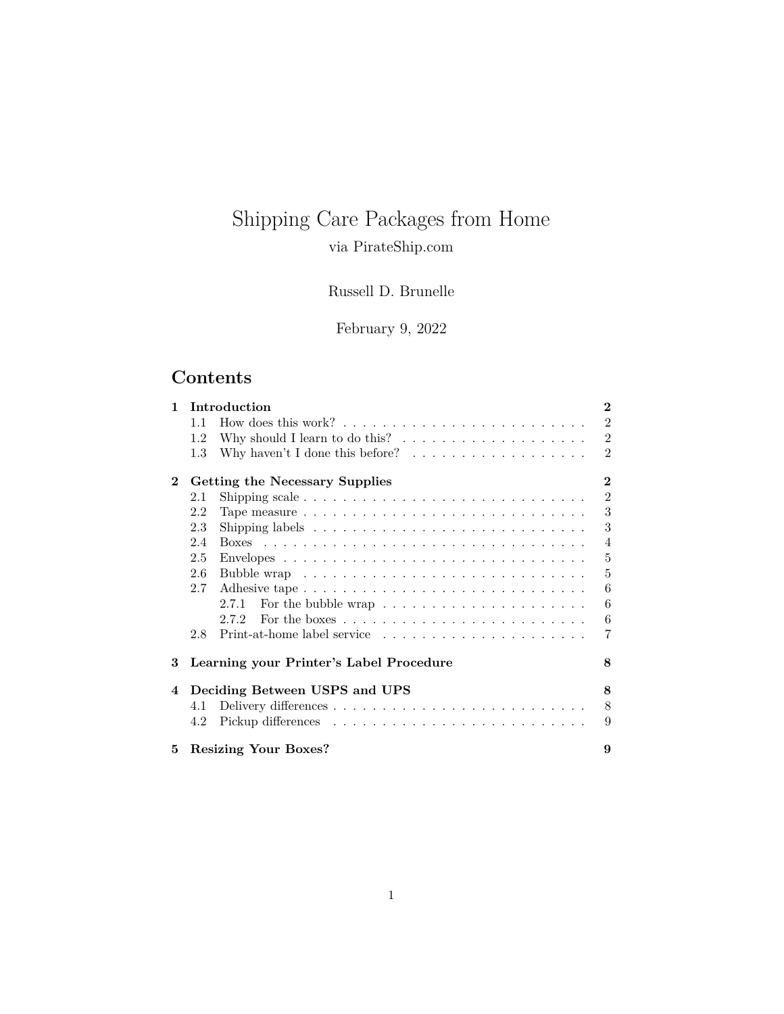# Shipping Care Packages from Home

## via PirateShip.com

## Russell D. Brunelle

## February 9, 2022

## **Contents**

| 1.           | Introduction                               |                                                                                       |                |
|--------------|--------------------------------------------|---------------------------------------------------------------------------------------|----------------|
|              | 11                                         |                                                                                       | $\overline{2}$ |
|              | 1.2                                        | Why should I learn to do this? $\dots \dots \dots \dots \dots \dots$                  | $\overline{2}$ |
|              | 1.3                                        | Why haven't I done this before? $\ldots \ldots \ldots \ldots \ldots$                  | $\overline{2}$ |
| $\mathbf{2}$ | $\bf{2}$<br>Getting the Necessary Supplies |                                                                                       |                |
|              | 2.1                                        |                                                                                       | $\overline{2}$ |
|              | 2.2                                        |                                                                                       | 3              |
|              | 2.3                                        |                                                                                       | 3              |
|              | 2.4                                        |                                                                                       | $\overline{4}$ |
|              | 2.5                                        |                                                                                       | 5              |
|              | 2.6                                        |                                                                                       | 5              |
|              | 2.7                                        | Adhesive tape                                                                         | 6              |
|              |                                            | For the bubble wrap $\ldots \ldots \ldots \ldots \ldots \ldots \ldots$<br>2.7.1       | 6              |
|              |                                            | For the boxes $\ldots \ldots \ldots \ldots \ldots \ldots \ldots \ldots \ldots$<br>272 | 6              |
|              | 2.8                                        | $Print-at\text{-home label service} \dots \dots \dots \dots \dots \dots \dots \dots$  | 7              |
| 3            |                                            | Learning your Printer's Label Procedure                                               | 8              |
| 4            |                                            | Deciding Between USPS and UPS                                                         | 8              |
|              | 4.1                                        |                                                                                       | 8              |
|              | 4.2                                        |                                                                                       | 9              |
| 5.           |                                            | <b>Resizing Your Boxes?</b>                                                           | 9              |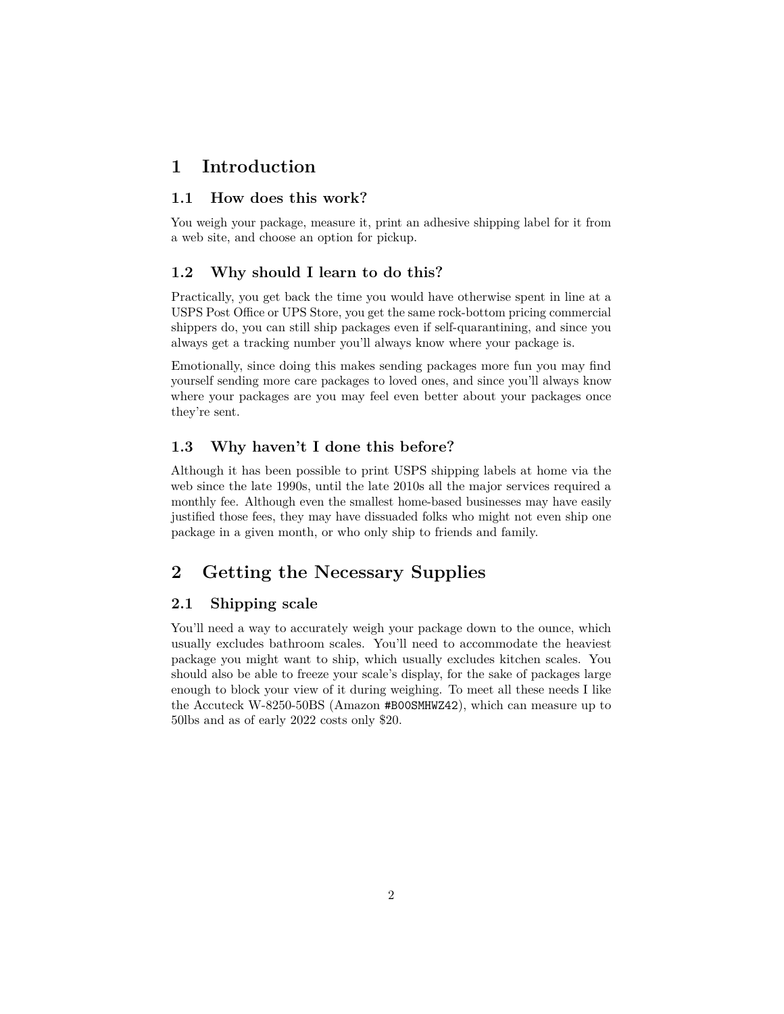## <span id="page-1-0"></span>**1 Introduction**

#### <span id="page-1-1"></span>**1.1 How does this work?**

You weigh your package, measure it, print an adhesive shipping label for it from a web site, and choose an option for pickup.

#### <span id="page-1-2"></span>**1.2 Why should I learn to do this?**

Practically, you get back the time you would have otherwise spent in line at a USPS Post Office or UPS Store, you get the same rock-bottom pricing commercial shippers do, you can still ship packages even if self-quarantining, and since you always get a tracking number you'll always know where your package is.

Emotionally, since doing this makes sending packages more fun you may find yourself sending more care packages to loved ones, and since you'll always know where your packages are you may feel even better about your packages once they're sent.

#### <span id="page-1-3"></span>**1.3 Why haven't I done this before?**

Although it has been possible to print USPS shipping labels at home via the web since the late 1990s, until the late 2010s all the major services required a monthly fee. Although even the smallest home-based businesses may have easily justified those fees, they may have dissuaded folks who might not even ship one package in a given month, or who only ship to friends and family.

## <span id="page-1-4"></span>**2 Getting the Necessary Supplies**

## <span id="page-1-5"></span>**2.1 Shipping scale**

You'll need a way to accurately weigh your package down to the ounce, which usually excludes bathroom scales. You'll need to accommodate the heaviest package you might want to ship, which usually excludes kitchen scales. You should also be able to freeze your scale's display, for the sake of packages large enough to block your view of it during weighing. To meet all these needs I like the Accuteck W-8250-50BS (Amazon [#B00SMHWZ42](https://www.amazon.com/dp/B00SMHWZ42/)), which can measure up to 50lbs and as of early 2022 costs only \$20.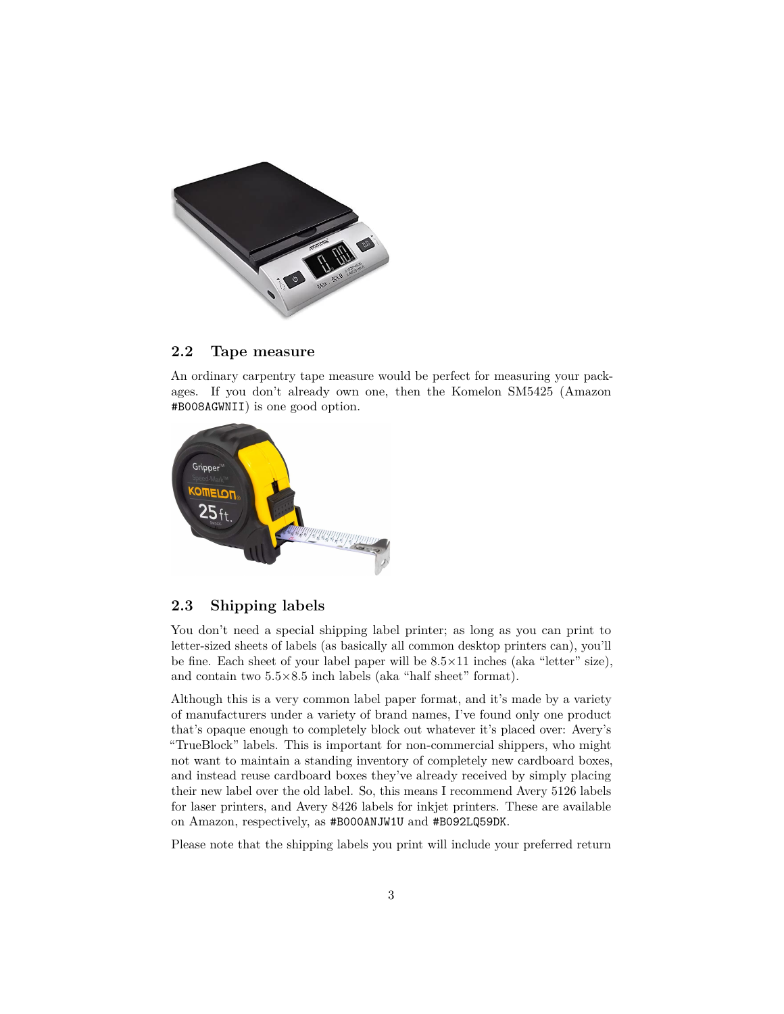

### <span id="page-2-0"></span>**2.2 Tape measure**

An ordinary carpentry tape measure would be perfect for measuring your packages. If you don't already own one, then the Komelon SM5425 (Amazon [#B008AGWNII](https://www.amazon.com/dp/B008AGWNII/)) is one good option.



### <span id="page-2-1"></span>**2.3 Shipping labels**

You don't need a special shipping label printer; as long as you can print to letter-sized sheets of labels (as basically all common desktop printers can), you'll be fine. Each sheet of your label paper will be  $8.5 \times 11$  inches (aka "letter" size), and contain two 5.5×8.5 inch labels (aka "half sheet" format).

Although this is a very common label paper format, and it's made by a variety of manufacturers under a variety of brand names, I've found only one product that's opaque enough to completely block out whatever it's placed over: Avery's "TrueBlock" labels. This is important for non-commercial shippers, who might not want to maintain a standing inventory of completely new cardboard boxes, and instead reuse cardboard boxes they've already received by simply placing their new label over the old label. So, this means I recommend Avery 5126 labels for laser printers, and Avery 8426 labels for inkjet printers. These are available on Amazon, respectively, as [#B000ANJW1U](https://www.amazon.com/dp/B000ANJW1U/) and [#B092LQ59DK](https://www.amazon.com/dp/B092LQ59DK/).

Please note that the shipping labels you print will include your preferred return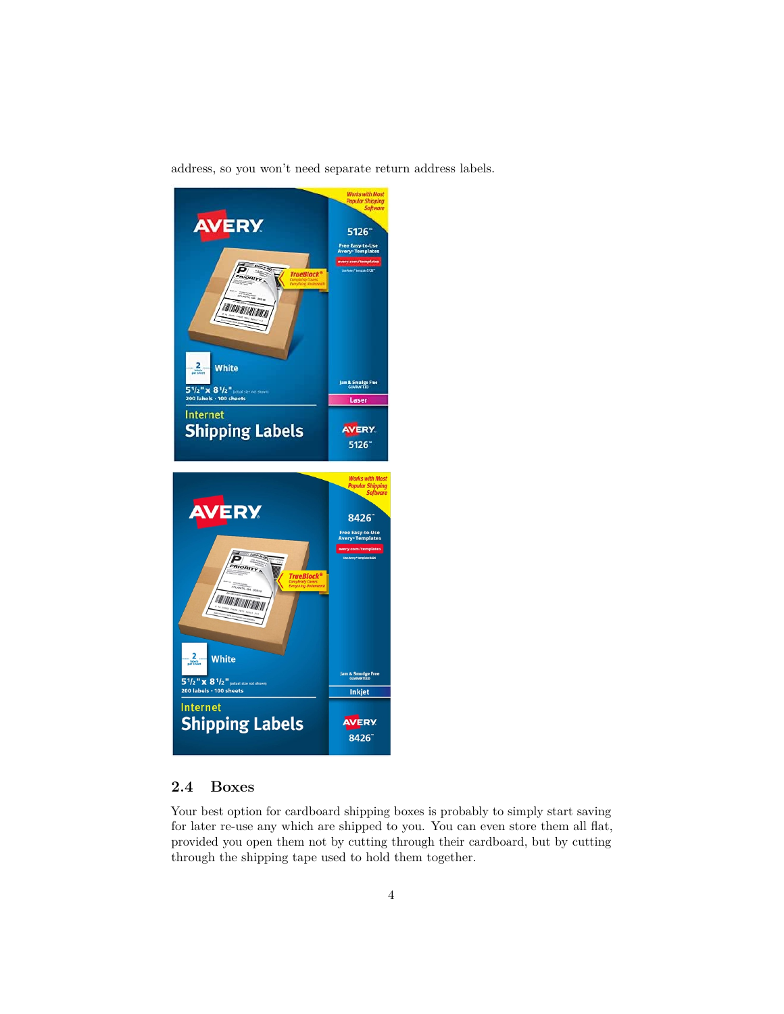address, so you won't need separate return address labels.



## <span id="page-3-0"></span>**2.4 Boxes**

Your best option for cardboard shipping boxes is probably to simply start saving for later re-use any which are shipped to you. You can even store them all flat, provided you open them not by cutting through their cardboard, but by cutting through the shipping tape used to hold them together.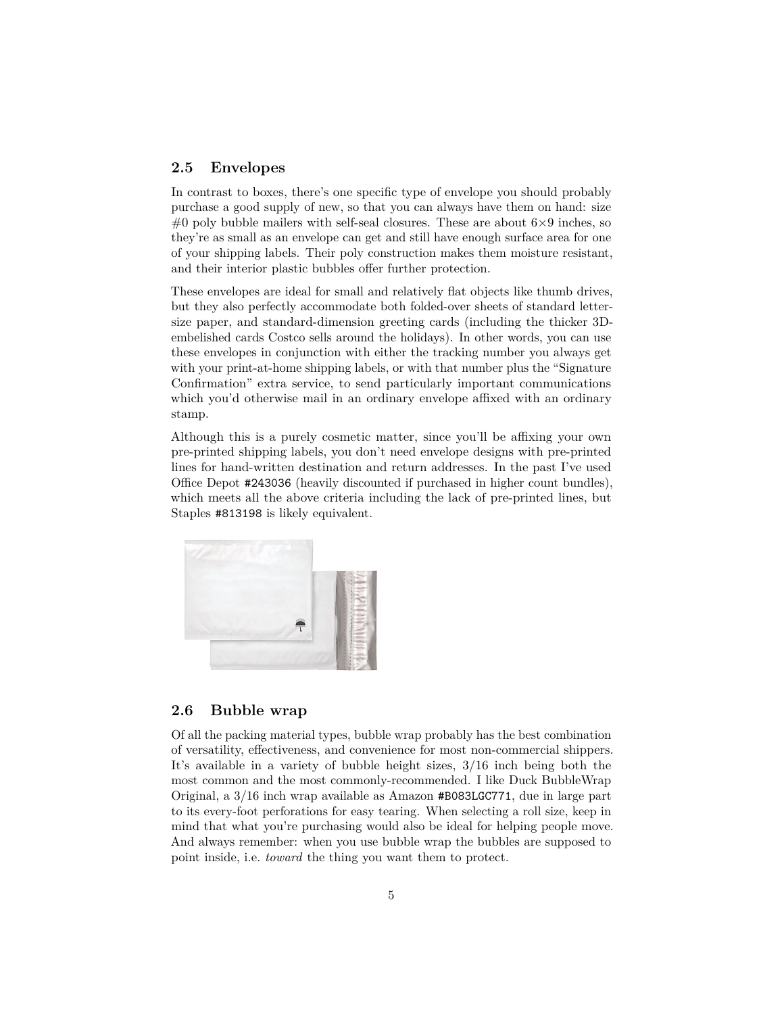#### <span id="page-4-0"></span>**2.5 Envelopes**

In contrast to boxes, there's one specific type of envelope you should probably purchase a good supply of new, so that you can always have them on hand: size #0 poly bubble mailers with self-seal closures. These are about  $6\times9$  inches, so they're as small as an envelope can get and still have enough surface area for one of your shipping labels. Their poly construction makes them moisture resistant, and their interior plastic bubbles offer further protection.

These envelopes are ideal for small and relatively flat objects like thumb drives, but they also perfectly accommodate both folded-over sheets of standard lettersize paper, and standard-dimension greeting cards (including the thicker 3Dembelished cards Costco sells around the holidays). In other words, you can use these envelopes in conjunction with either the tracking number you always get with your print-at-home shipping labels, or with that number plus the "Signature" Confirmation" extra service, to send particularly important communications which you'd otherwise mail in an ordinary envelope affixed with an ordinary stamp.

Although this is a purely cosmetic matter, since you'll be affixing your own pre-printed shipping labels, you don't need envelope designs with pre-printed lines for hand-written destination and return addresses. In the past I've used Office Depot [#243036](https://www.officedepot.com/a/products/243036/) (heavily discounted if purchased in higher count bundles), which meets all the above criteria including the lack of pre-printed lines, but Staples [#813198](https://www.staples.com/product_813198) is likely equivalent.



## <span id="page-4-1"></span>**2.6 Bubble wrap**

Of all the packing material types, bubble wrap probably has the best combination of versatility, effectiveness, and convenience for most non-commercial shippers. It's available in a variety of bubble height sizes, 3/16 inch being both the most common and the most commonly-recommended. I like Duck BubbleWrap Original, a 3/16 inch wrap available as Amazon [#B083LGC771](https://www.amazon.com/dp/B083LGC771/), due in large part to its every-foot perforations for easy tearing. When selecting a roll size, keep in mind that what you're purchasing would also be ideal for helping people move. And always remember: when you use bubble wrap the bubbles are supposed to point inside, i.e. *toward* the thing you want them to protect.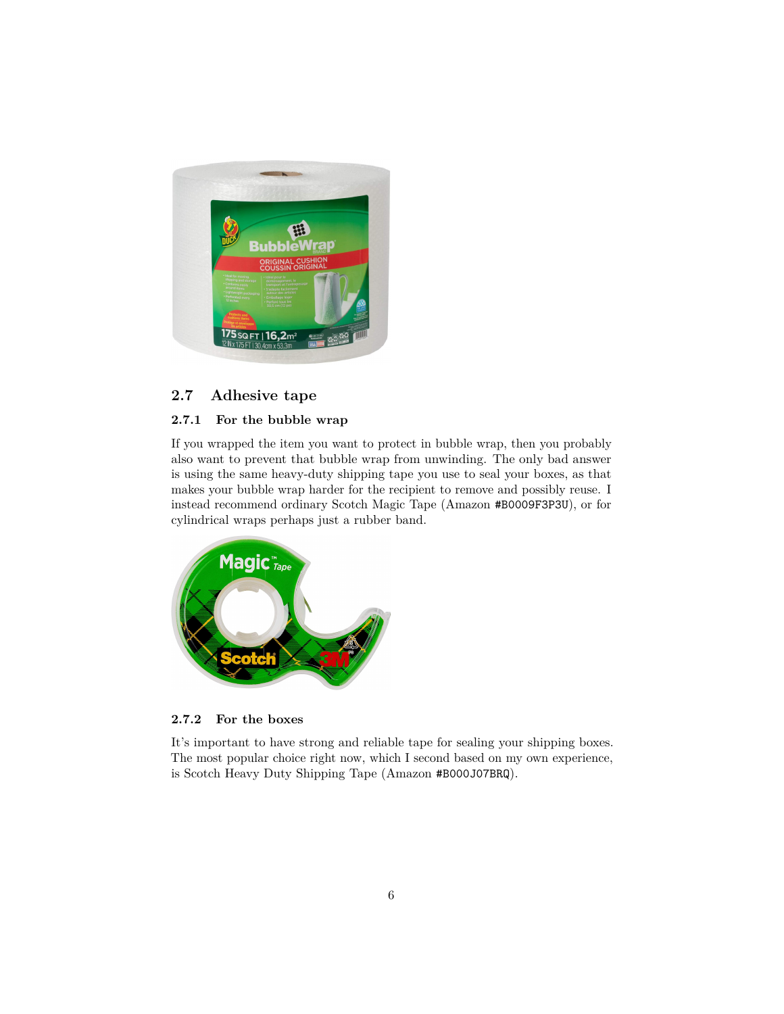

## <span id="page-5-0"></span>**2.7 Adhesive tape**

#### <span id="page-5-1"></span>**2.7.1 For the bubble wrap**

If you wrapped the item you want to protect in bubble wrap, then you probably also want to prevent that bubble wrap from unwinding. The only bad answer is using the same heavy-duty shipping tape you use to seal your boxes, as that makes your bubble wrap harder for the recipient to remove and possibly reuse. I instead recommend ordinary Scotch Magic Tape (Amazon [#B0009F3P3U](https://www.amazon.com/dp/B0009F3P3U/)), or for cylindrical wraps perhaps just a rubber band.



**2.7.2 For the boxes**

<span id="page-5-2"></span>It's important to have strong and reliable tape for sealing your shipping boxes. The most popular choice right now, which I second based on my own experience, is Scotch Heavy Duty Shipping Tape (Amazon [#B000J07BRQ](https://www.amazon.com/dp/B000J07BRQ/)).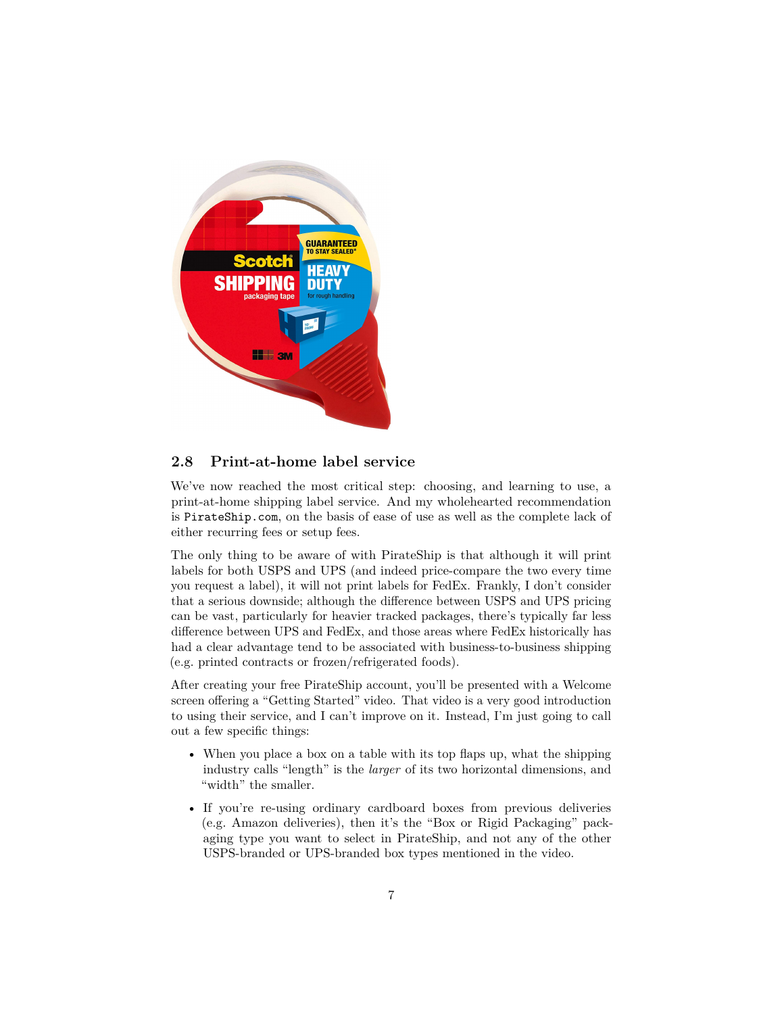

## <span id="page-6-0"></span>**2.8 Print-at-home label service**

We've now reached the most critical step: choosing, and learning to use, a print-at-home shipping label service. And my wholehearted recommendation is [PirateShip.com](https://www.pirateship.com), on the basis of ease of use as well as the complete lack of either recurring fees or setup fees.

The only thing to be aware of with PirateShip is that although it will print labels for both USPS and UPS (and indeed price-compare the two every time you request a label), it will not print labels for FedEx. Frankly, I don't consider that a serious downside; although the difference between USPS and UPS pricing can be vast, particularly for heavier tracked packages, there's typically far less difference between UPS and FedEx, and those areas where FedEx historically has had a clear advantage tend to be associated with business-to-business shipping (e.g. printed contracts or frozen/refrigerated foods).

After creating your free PirateShip account, you'll be presented with a Welcome screen offering a "Getting Started" video. That video is a very good introduction to using their service, and I can't improve on it. Instead, I'm just going to call out a few specific things:

- When you place a box on a table with its top flaps up, what the shipping industry calls "length" is the *larger* of its two horizontal dimensions, and  $\mbox{``width''}$  the smaller.
- If you're re-using ordinary cardboard boxes from previous deliveries (e.g. Amazon deliveries), then it's the "Box or Rigid Packaging" packaging type you want to select in PirateShip, and not any of the other USPS-branded or UPS-branded box types mentioned in the video.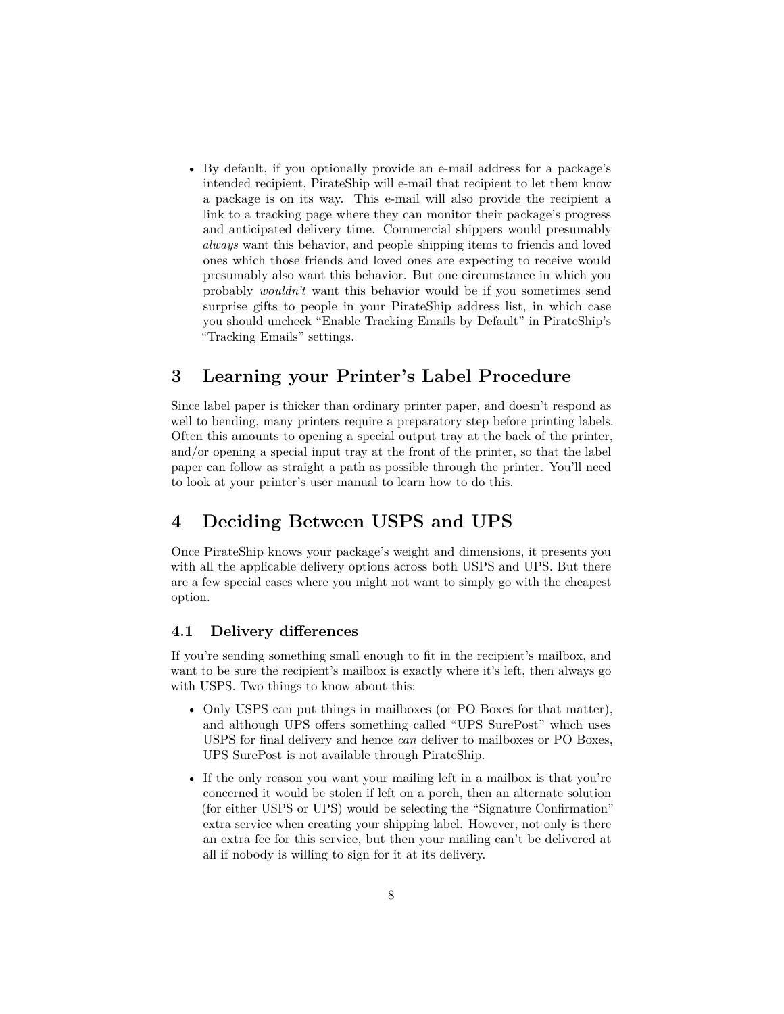• By default, if you optionally provide an e-mail address for a package's intended recipient, PirateShip will e-mail that recipient to let them know a package is on its way. This e-mail will also provide the recipient a link to a tracking page where they can monitor their package's progress and anticipated delivery time. Commercial shippers would presumably *always* want this behavior, and people shipping items to friends and loved ones which those friends and loved ones are expecting to receive would presumably also want this behavior. But one circumstance in which you probably *wouldn't* want this behavior would be if you sometimes send surprise gifts to people in your PirateShip address list, in which case you should uncheck "Enable Tracking Emails by Default" in PirateShip's "Tracking Emails" settings.

## <span id="page-7-0"></span>**3 Learning your Printer's Label Procedure**

Since label paper is thicker than ordinary printer paper, and doesn't respond as well to bending, many printers require a preparatory step before printing labels. Often this amounts to opening a special output tray at the back of the printer, and/or opening a special input tray at the front of the printer, so that the label paper can follow as straight a path as possible through the printer. You'll need to look at your printer's user manual to learn how to do this.

## <span id="page-7-1"></span>**4 Deciding Between USPS and UPS**

Once PirateShip knows your package's weight and dimensions, it presents you with all the applicable delivery options across both USPS and UPS. But there are a few special cases where you might not want to simply go with the cheapest option.

#### <span id="page-7-2"></span>**4.1 Delivery differences**

If you're sending something small enough to fit in the recipient's mailbox, and want to be sure the recipient's mailbox is exactly where it's left, then always go with USPS. Two things to know about this:

- Only USPS can put things in mailboxes (or PO Boxes for that matter), and although UPS offers something called "UPS SurePost" which uses USPS for final delivery and hence *can* deliver to mailboxes or PO Boxes, UPS SurePost is not available through PirateShip.
- If the only reason you want your mailing left in a mailbox is that you're concerned it would be stolen if left on a porch, then an alternate solution (for either USPS or UPS) would be selecting the "Signature Confirmation" extra service when creating your shipping label. However, not only is there an extra fee for this service, but then your mailing can't be delivered at all if nobody is willing to sign for it at its delivery.